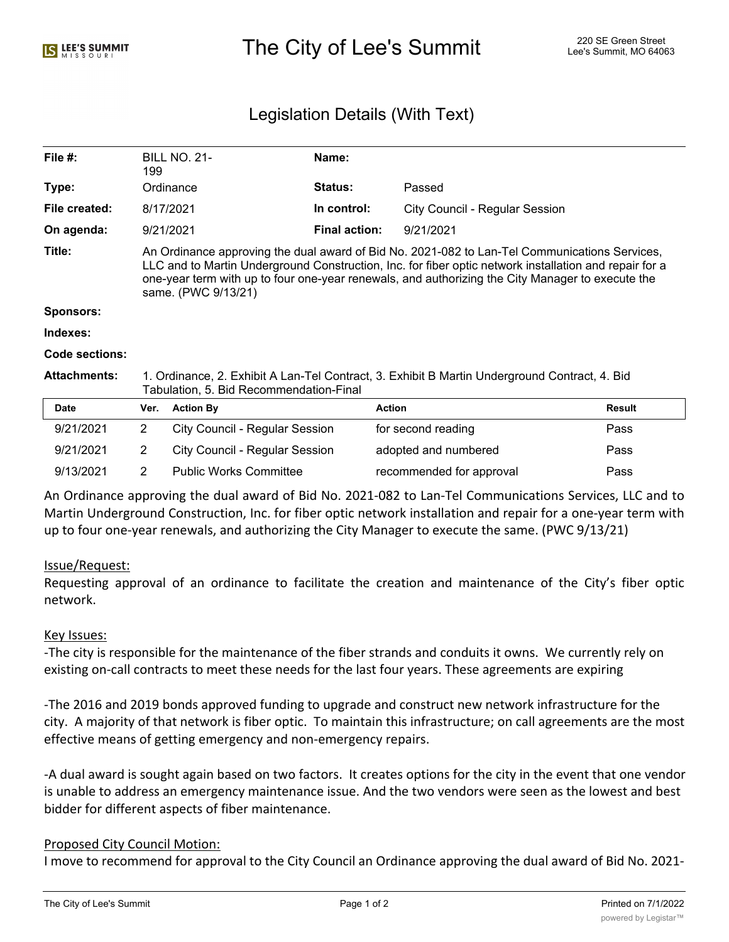# The City of Lee's Summit 220 SE Green Street Alex City of Lee's Summit, MO 64063

## Legislation Details (With Text)

| File #:             | 199                                                                                                                                                                                                                                                                                                                                | <b>BILL NO. 21-</b>                                                                                                                      | Name:                |                                |               |  |
|---------------------|------------------------------------------------------------------------------------------------------------------------------------------------------------------------------------------------------------------------------------------------------------------------------------------------------------------------------------|------------------------------------------------------------------------------------------------------------------------------------------|----------------------|--------------------------------|---------------|--|
| Type:               |                                                                                                                                                                                                                                                                                                                                    | Ordinance                                                                                                                                | <b>Status:</b>       | Passed                         |               |  |
| File created:       |                                                                                                                                                                                                                                                                                                                                    | 8/17/2021                                                                                                                                | In control:          | City Council - Regular Session |               |  |
| On agenda:          |                                                                                                                                                                                                                                                                                                                                    | 9/21/2021                                                                                                                                | <b>Final action:</b> | 9/21/2021                      |               |  |
| Title:              | An Ordinance approving the dual award of Bid No. 2021-082 to Lan-Tel Communications Services,<br>LLC and to Martin Underground Construction, Inc. for fiber optic network installation and repair for a<br>one-year term with up to four one-year renewals, and authorizing the City Manager to execute the<br>same. (PWC 9/13/21) |                                                                                                                                          |                      |                                |               |  |
| <b>Sponsors:</b>    |                                                                                                                                                                                                                                                                                                                                    |                                                                                                                                          |                      |                                |               |  |
| Indexes:            |                                                                                                                                                                                                                                                                                                                                    |                                                                                                                                          |                      |                                |               |  |
| Code sections:      |                                                                                                                                                                                                                                                                                                                                    |                                                                                                                                          |                      |                                |               |  |
| <b>Attachments:</b> |                                                                                                                                                                                                                                                                                                                                    | 1. Ordinance, 2. Exhibit A Lan-Tel Contract, 3. Exhibit B Martin Underground Contract, 4. Bid<br>Tabulation, 5. Bid Recommendation-Final |                      |                                |               |  |
| <b>Date</b>         | Ver.                                                                                                                                                                                                                                                                                                                               | <b>Action By</b>                                                                                                                         |                      | <b>Action</b>                  | <b>Result</b> |  |
| 9/21/2021           | $\overline{2}$                                                                                                                                                                                                                                                                                                                     | City Council - Regular Session                                                                                                           |                      | for second reading             | Pass          |  |
| 9/21/2021           | $\overline{2}$                                                                                                                                                                                                                                                                                                                     | City Council - Regular Session                                                                                                           |                      | adopted and numbered           | Pass          |  |
| 9/13/2021           | $\overline{2}$                                                                                                                                                                                                                                                                                                                     | <b>Public Works Committee</b>                                                                                                            |                      | recommended for approval       | Pass          |  |

An Ordinance approving the dual award of Bid No. 2021-082 to Lan-Tel Communications Services, LLC and to Martin Underground Construction, Inc. for fiber optic network installation and repair for a one-year term with up to four one-year renewals, and authorizing the City Manager to execute the same. (PWC 9/13/21)

#### Issue/Request:

Requesting approval of an ordinance to facilitate the creation and maintenance of the City's fiber optic network.

#### Key Issues:

-The city is responsible for the maintenance of the fiber strands and conduits it owns. We currently rely on existing on-call contracts to meet these needs for the last four years. These agreements are expiring

-The 2016 and 2019 bonds approved funding to upgrade and construct new network infrastructure for the city. A majority of that network is fiber optic. To maintain this infrastructure; on call agreements are the most effective means of getting emergency and non-emergency repairs.

-A dual award is sought again based on two factors. It creates options for the city in the event that one vendor is unable to address an emergency maintenance issue. And the two vendors were seen as the lowest and best bidder for different aspects of fiber maintenance.

#### Proposed City Council Motion:

I move to recommend for approval to the City Council an Ordinance approving the dual award of Bid No. 2021-